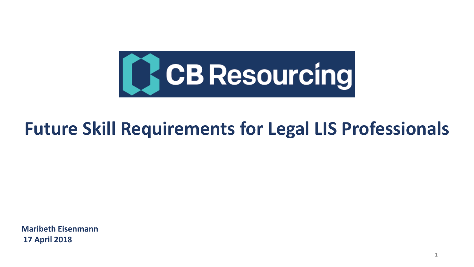

# **Future Skill Requirements for Legal LIS Professionals**

**Maribeth Eisenmann 17 April 2018**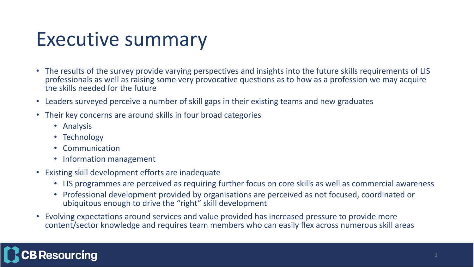# Executive summary

- The results of the survey provide varying perspectives and insights into the future skills requirements of LIS professionals as well as raising some very provocative questions as to how as a profession we may acquire the skills needed for the future
- Leaders surveyed perceive a number of skill gaps in their existing teams and new graduates
- Their key concerns are around skills in four broad categories
	- Analysis
	- Technology
	- Communication
	- Information management
- Existing skill development efforts are inadequate
	- LIS programmes are perceived as requiring further focus on core skills as well as commercial awareness
	- Professional development provided by organisations are perceived as not focused, coordinated or ubiquitous enough to drive the "right" skill development
- Evolving expectations around services and value provided has increased pressure to provide more content/sector knowledge and requires team members who can easily flex across numerous skill areas

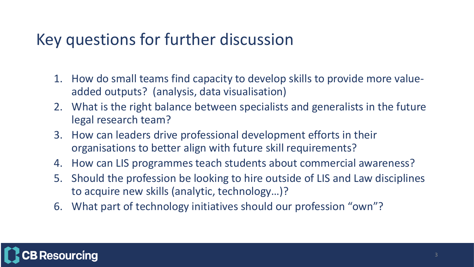#### Key questions for further discussion

- 1. How do small teams find capacity to develop skills to provide more valueadded outputs? (analysis, data visualisation)
- 2. What is the right balance between specialists and generalists in the future legal research team?
- 3. How can leaders drive professional development efforts in their organisations to better align with future skill requirements?
- 4. How can LIS programmes teach students about commercial awareness?
- 5. Should the profession be looking to hire outside of LIS and Law disciplines to acquire new skills (analytic, technology…)?
- 6. What part of technology initiatives should our profession "own"?

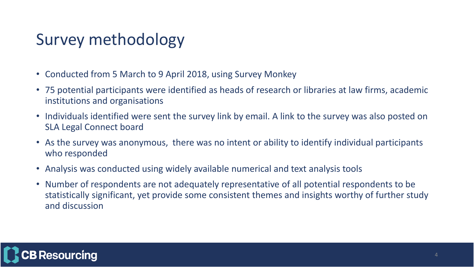#### Survey methodology

- Conducted from 5 March to 9 April 2018, using Survey Monkey
- 75 potential participants were identified as heads of research or libraries at law firms, academic institutions and organisations
- Individuals identified were sent the survey link by email. A link to the survey was also posted on SLA Legal Connect board
- As the survey was anonymous, there was no intent or ability to identify individual participants who responded
- Analysis was conducted using widely available numerical and text analysis tools
- Number of respondents are not adequately representative of all potential respondents to be statistically significant, yet provide some consistent themes and insights worthy of further study and discussion

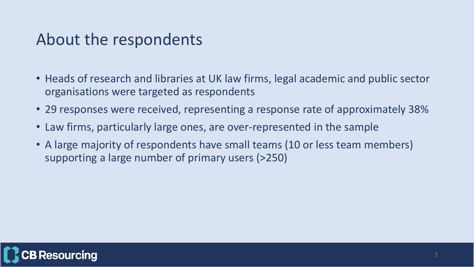#### About the respondents

- Heads of research and libraries at UK law firms, legal academic and public sector organisations were targeted as respondents
- 29 responses were received, representing a response rate of approximately 38%
- Law firms, particularly large ones, are over-represented in the sample
- A large majority of respondents have small teams (10 or less team members) supporting a large number of primary users (>250)

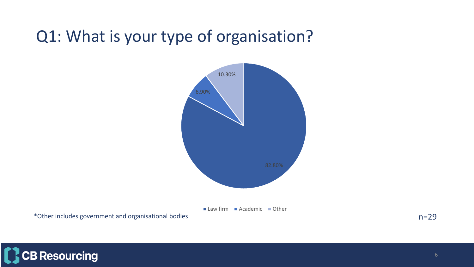### Q1: What is your type of organisation?



■ Law firm ■ Academic ■ Other

\*Other includes government and organisational bodies networks are neglected by the neglected probability of  $n=29$ 



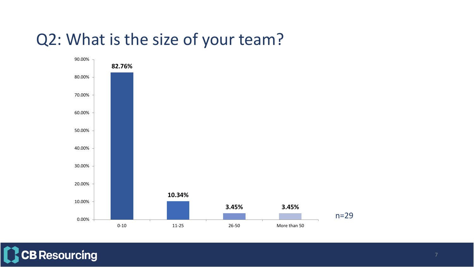#### Q2: What is the size of your team?



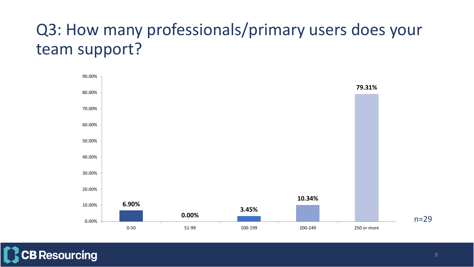## Q3: How many professionals/primary users does your team support?



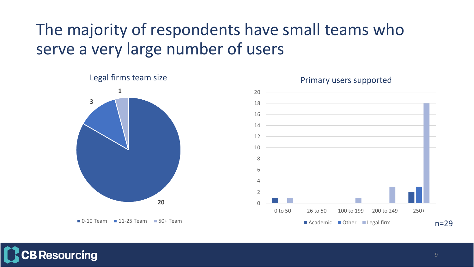## The majority of respondents have small teams who serve a very large number of users

**Resourcing** 



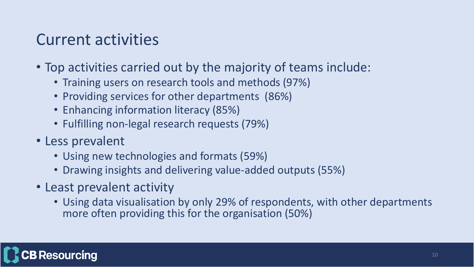#### Current activities

- Top activities carried out by the majority of teams include:
	- Training users on research tools and methods (97%)
	- Providing services for other departments (86%)
	- Enhancing information literacy (85%)
	- Fulfilling non-legal research requests (79%)
- Less prevalent
	- Using new technologies and formats (59%)
	- Drawing insights and delivering value-added outputs (55%)
- Least prevalent activity
	- Using data visualisation by only 29% of respondents, with other departments more often providing this for the organisation (50%)

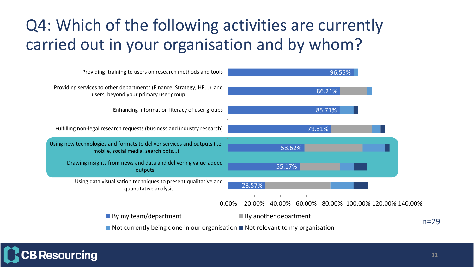## Q4: Which of the following activities are currently carried out in your organisation and by whom?



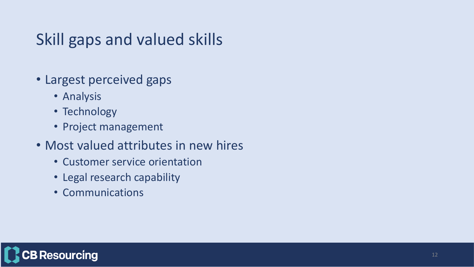## Skill gaps and valued skills

- Largest perceived gaps
	- Analysis
	- Technology
	- Project management
- Most valued attributes in new hires
	- Customer service orientation
	- Legal research capability
	- Communications

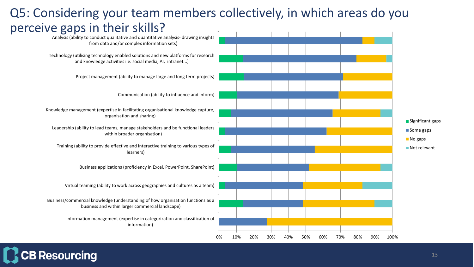#### Q5: Considering your team members collectively, in which areas do you perceive gaps in their skills?



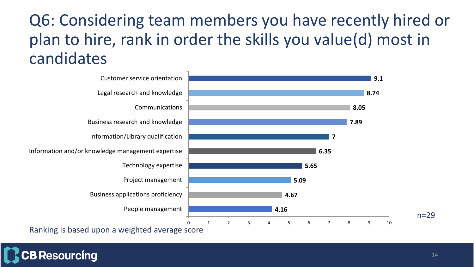## Q6: Considering team members you have recently hired or plan to hire, rank in order the skills you value(d) most in candidates



Ranking is based upon a weighted average score

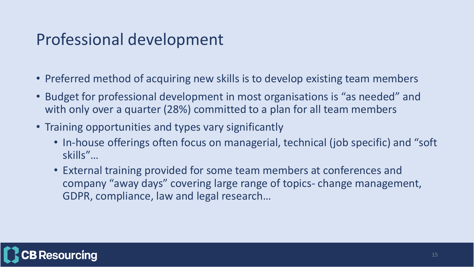#### Professional development

- Preferred method of acquiring new skills is to develop existing team members
- Budget for professional development in most organisations is "as needed" and with only over a quarter (28%) committed to a plan for all team members
- Training opportunities and types vary significantly
	- In-house offerings often focus on managerial, technical (job specific) and "soft skills"…
	- External training provided for some team members at conferences and company "away days" covering large range of topics- change management, GDPR, compliance, law and legal research…

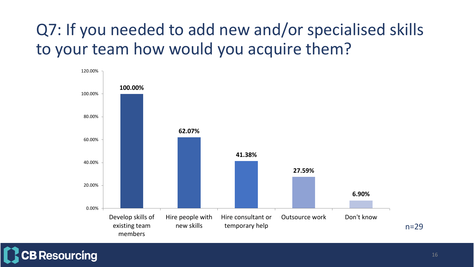# Q7: If you needed to add new and/or specialised skills to your team how would you acquire them?

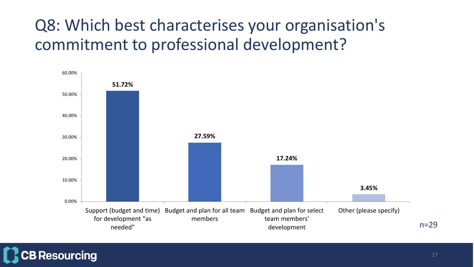## Q8: Which best characterises your organisation's commitment to professional development?



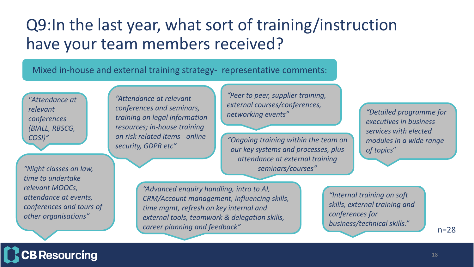## Q9:In the last year, what sort of training/instruction have your team members received?

#### Mixed in-house and external training strategy- representative comments:

*"Attendance at relevant conferences (BIALL, RBSCG,* 

*"Attendance at relevant conferences and seminars, training on legal information resources; in-house training on risk related items - online security, GDPR etc"*

*"Peer to peer, supplier training, external courses/conferences, networking events" "Detailed programme for* 

*COSI)" "Ongoing training within the team on our key systems and processes, plus attendance at external training "Night classes on law, seminars/courses"*

*executives in business services with elected modules in a wide range of topics*"

*time to undertake relevant MOOCs, attendance at events, conferences and tours of other organisations"*

**B** Resourcing

*"Advanced enquiry handling, intro to AI, CRM/Account management, influencing skills, time mgmt, refresh on key internal and external tools, teamwork & delegation skills, career planning and feedback"*

*"Internal training on soft skills, external training and conferences for business/technical skills."*

 $n=28$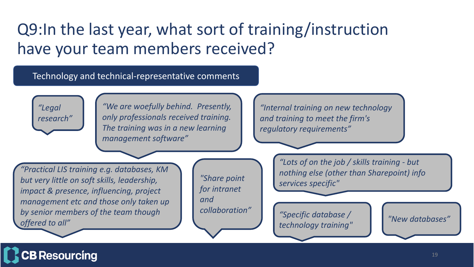## Q9:In the last year, what sort of training/instruction have your team members received?

#### Technology and technical-representative comments

*"Legal research"*

**B** Resourcing

*"We are woefully behind. Presently, only professionals received training. The training was in a new learning management software"*

*"Internal training on new technology and training to meet the firm's regulatory requirements"*

*"Practical LIS training e.g. databases, KM but very little on soft skills, leadership, impact & presence, influencing, project management etc and those only taken up by senior members of the team though offered to all"*

*"Share point for intranet and collaboration"*

*"Lots of on the job / skills training - but nothing else (other than Sharepoint) info services specific"*

*"Specific database / technology training"*

*"New databases"*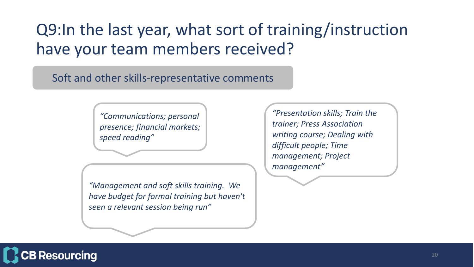## Q9:In the last year, what sort of training/instruction have your team members received?

#### Soft and other skills-representative comments



*"Management and soft skills training. We have budget for formal training but haven't seen a relevant session being run"*

*"Presentation skills; Train the trainer; Press Association writing course; Dealing with difficult people; Time management; Project management"*

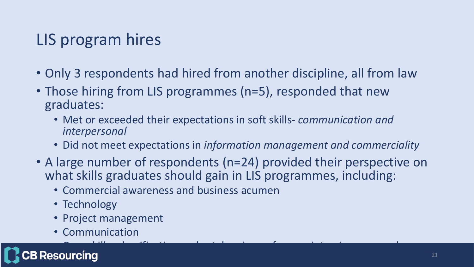#### LIS program hires

- Only 3 respondents had hired from another discipline, all from law
- Those hiring from LIS programmes (n=5), responded that new graduates:
	- Met or exceeded their expectations in soft skills- *communication and interpersonal*
	- Did not meet expectations in *information management and commerciality*
- A large number of respondents (n=24) provided their perspective on what skills graduates should gain in LIS programmes, including:
	- Commercial awareness and business acumen
	- Technology
	- Project management
	- Communication

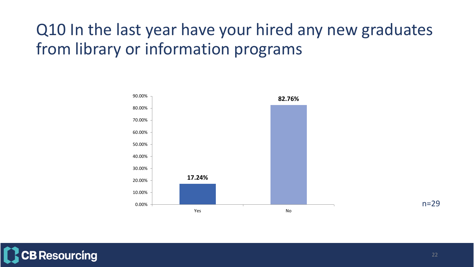## Q10 In the last year have your hired any new graduates from library or information programs



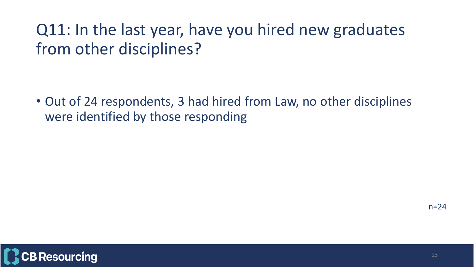## Q11: In the last year, have you hired new graduates from other disciplines?

• Out of 24 respondents, 3 had hired from Law, no other disciplines were identified by those responding

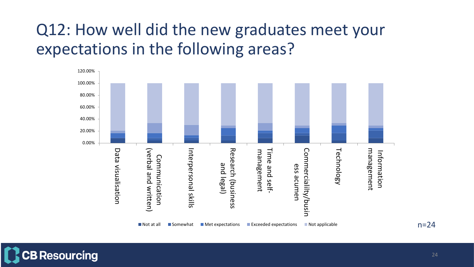### Q12: How well did the new graduates meet your expectations in the following areas?



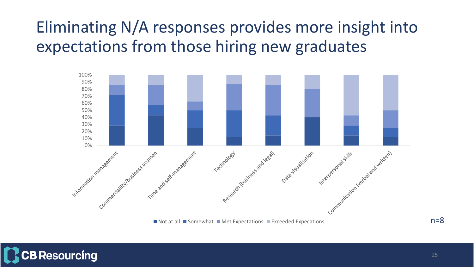## Eliminating N/A responses provides more insight into expectations from those hiring new graduates





 $n=8$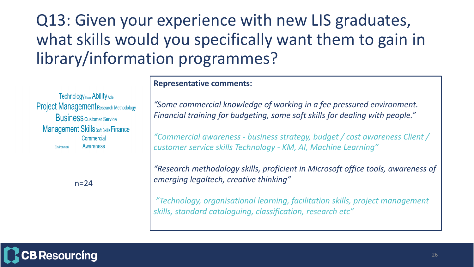## Q13: Given your experience with new LIS graduates, what skills would you specifically want them to gain in library/information programmes?

**Technology Future Ability Able Project Management Research Methodology Business Customer Service Management Skills Soft Skills Finance** Commercial Awareness Environment

 $n=24$ 

#### **Representative comments:**

*"Some commercial knowledge of working in a fee pressured environment. Financial training for budgeting, some soft skills for dealing with people."*

*"Commercial awareness - business strategy, budget / cost awareness Client / customer service skills Technology - KM, AI, Machine Learning"*

*"Research methodology skills, proficient in Microsoft office tools, awareness of emerging legaltech, creative thinking"*

*"Technology, organisational learning, facilitation skills, project management skills, standard cataloguing, classification, research etc"*

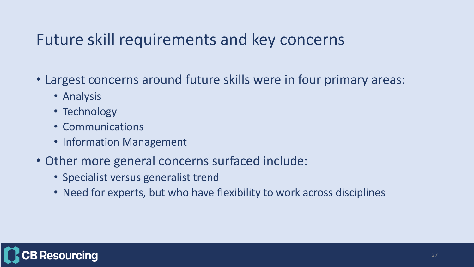#### Future skill requirements and key concerns

- Largest concerns around future skills were in four primary areas:
	- Analysis
	- Technology
	- Communications
	- Information Management
- Other more general concerns surfaced include:
	- Specialist versus generalist trend
	- Need for experts, but who have flexibility to work across disciplines

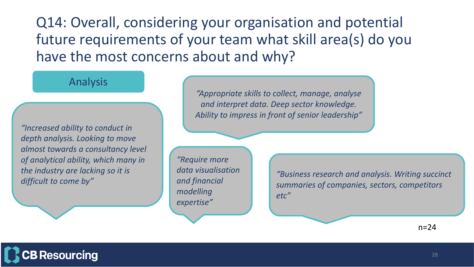Q14: Overall, considering your organisation and potential future requirements of your team what skill area(s) do you have the most concerns about and why?

Analysis

*"Increased ability to conduct in depth analysis. Looking to move almost towards a consultancy level of analytical ability, which many in the industry are lacking so it is difficult to come by"*

*"Appropriate skills to collect, manage, analyse and interpret data. Deep sector knowledge. Ability to impress in front of senior leadership"*

*"Require more data visualisation and financial modelling expertise"*

*"Business research and analysis. Writing succinct summaries of companies, sectors, competitors etc"*

 $n=24$ 

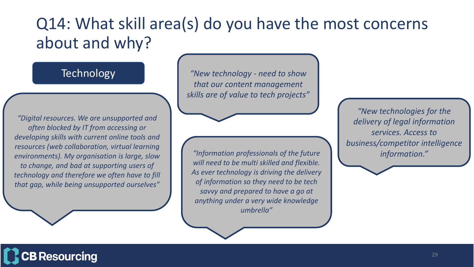#### Q14: What skill area(s) do you have the most concerns about and why?

#### **Technology**

*"Digital resources. We are unsupported and often blocked by IT from accessing or developing skills with current online tools and resources (web collaboration, virtual learning environments). My organisation is large, slow to change, and bad at supporting users of technology and therefore we often have to fill that gap, while being unsupported ourselves"*

*"New technology - need to show that our content management skills are of value to tech projects"*

*"Information professionals of the future information." will need to be multi skilled and flexible. As ever technology is driving the delivery of information so they need to be tech savvy and prepared to have a go at anything under a very wide knowledge umbrella"*

*"New technologies for the delivery of legal information services. Access to business/competitor intelligence* 

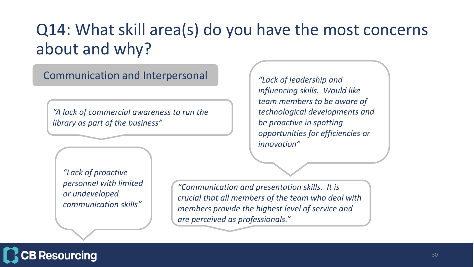## Q14: What skill area(s) do you have the most concerns about and why?

Communication and Interpersonal

*"A lack of commercial awareness to run the library as part of the business"*

*"Lack of proactive personnel with limited or undeveloped communication skills"*

*"Lack of leadership and influencing skills. Would like team members to be aware of technological developments and be proactive in spotting opportunities for efficiencies or innovation"*

*"Communication and presentation skills. It is crucial that all members of the team who deal with members provide the highest level of service and are perceived as professionals."*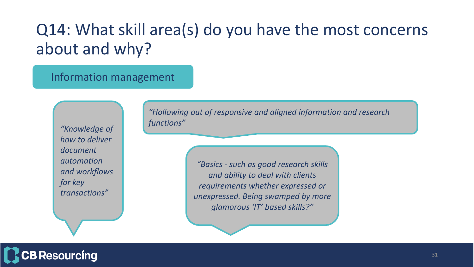## Q14: What skill area(s) do you have the most concerns about and why?

Information management

*functions" "Knowledge of how to deliver document automation and workflows for key transactions"*

*"Hollowing out of responsive and aligned information and research* 

*"Basics - such as good research skills and ability to deal with clients requirements whether expressed or unexpressed. Being swamped by more glamorous 'IT' based skills?"*